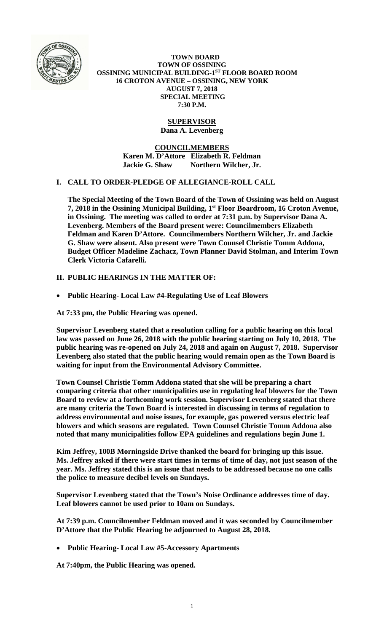

 **TOWN BOARD TOWN OF OSSINING OSSINING MUNICIPAL BUILDING-1ST FLOOR BOARD ROOM 16 CROTON AVENUE – OSSINING, NEW YORK AUGUST 7, 2018 SPECIAL MEETING 7:30 P.M.** 

# **SUPERVISOR**

**Dana A. Levenberg** 

**COUNCILMEMBERS Karen M. D'Attore Elizabeth R. Feldman Jackie G. Shaw Northern Wilcher, Jr.** 

# **I. CALL TO ORDER-PLEDGE OF ALLEGIANCE-ROLL CALL**

**The Special Meeting of the Town Board of the Town of Ossining was held on August 7, 2018 in the Ossining Municipal Building, 1st Floor Boardroom, 16 Croton Avenue, in Ossining. The meeting was called to order at 7:31 p.m. by Supervisor Dana A. Levenberg. Members of the Board present were: Councilmembers Elizabeth Feldman and Karen D'Attore. Councilmembers Northern Wilcher, Jr. and Jackie G. Shaw were absent. Also present were Town Counsel Christie Tomm Addona, Budget Officer Madeline Zachacz, Town Planner David Stolman, and Interim Town Clerk Victoria Cafarelli.** 

**II. PUBLIC HEARINGS IN THE MATTER OF:** 

**Public Hearing- Local Law #4-Regulating Use of Leaf Blowers** 

**At 7:33 pm, the Public Hearing was opened.** 

**Supervisor Levenberg stated that a resolution calling for a public hearing on this local law was passed on June 26, 2018 with the public hearing starting on July 10, 2018. The public hearing was re-opened on July 24, 2018 and again on August 7, 2018. Supervisor Levenberg also stated that the public hearing would remain open as the Town Board is waiting for input from the Environmental Advisory Committee.** 

**Town Counsel Christie Tomm Addona stated that she will be preparing a chart comparing criteria that other municipalities use in regulating leaf blowers for the Town Board to review at a forthcoming work session. Supervisor Levenberg stated that there are many criteria the Town Board is interested in discussing in terms of regulation to address environmental and noise issues, for example, gas powered versus electric leaf blowers and which seasons are regulated. Town Counsel Christie Tomm Addona also noted that many municipalities follow EPA guidelines and regulations begin June 1.** 

**Kim Jeffrey, 100B Morningside Drive thanked the board for bringing up this issue. Ms. Jeffrey asked if there were start times in terms of time of day, not just season of the year. Ms. Jeffrey stated this is an issue that needs to be addressed because no one calls the police to measure decibel levels on Sundays.** 

**Supervisor Levenberg stated that the Town's Noise Ordinance addresses time of day. Leaf blowers cannot be used prior to 10am on Sundays.** 

**At 7:39 p.m. Councilmember Feldman moved and it was seconded by Councilmember D'Attore that the Public Hearing be adjourned to August 28, 2018.** 

**Public Hearing- Local Law #5-Accessory Apartments** 

**At 7:40pm, the Public Hearing was opened.**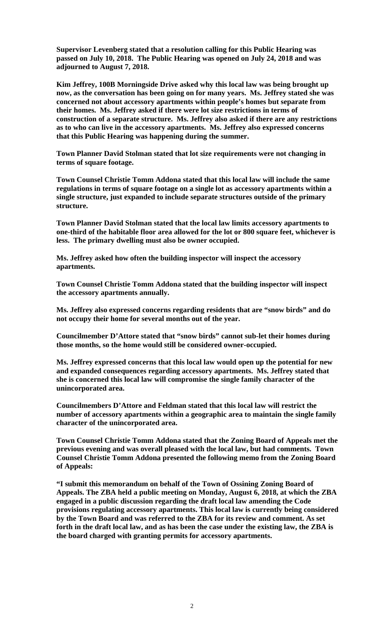**Supervisor Levenberg stated that a resolution calling for this Public Hearing was passed on July 10, 2018. The Public Hearing was opened on July 24, 2018 and was adjourned to August 7, 2018.** 

**Kim Jeffrey, 100B Morningside Drive asked why this local law was being brought up now, as the conversation has been going on for many years. Ms. Jeffrey stated she was concerned not about accessory apartments within people's homes but separate from their homes. Ms. Jeffrey asked if there were lot size restrictions in terms of construction of a separate structure. Ms. Jeffrey also asked if there are any restrictions as to who can live in the accessory apartments. Ms. Jeffrey also expressed concerns that this Public Hearing was happening during the summer.** 

**Town Planner David Stolman stated that lot size requirements were not changing in terms of square footage.** 

**Town Counsel Christie Tomm Addona stated that this local law will include the same regulations in terms of square footage on a single lot as accessory apartments within a single structure, just expanded to include separate structures outside of the primary structure.** 

**Town Planner David Stolman stated that the local law limits accessory apartments to one-third of the habitable floor area allowed for the lot or 800 square feet, whichever is less. The primary dwelling must also be owner occupied.** 

**Ms. Jeffrey asked how often the building inspector will inspect the accessory apartments.** 

**Town Counsel Christie Tomm Addona stated that the building inspector will inspect the accessory apartments annually.** 

**Ms. Jeffrey also expressed concerns regarding residents that are "snow birds" and do not occupy their home for several months out of the year.** 

**Councilmember D'Attore stated that "snow birds" cannot sub-let their homes during those months, so the home would still be considered owner-occupied.** 

**Ms. Jeffrey expressed concerns that this local law would open up the potential for new and expanded consequences regarding accessory apartments. Ms. Jeffrey stated that she is concerned this local law will compromise the single family character of the unincorporated area.** 

**Councilmembers D'Attore and Feldman stated that this local law will restrict the number of accessory apartments within a geographic area to maintain the single family character of the unincorporated area.** 

**Town Counsel Christie Tomm Addona stated that the Zoning Board of Appeals met the previous evening and was overall pleased with the local law, but had comments. Town Counsel Christie Tomm Addona presented the following memo from the Zoning Board of Appeals:** 

**"I submit this memorandum on behalf of the Town of Ossining Zoning Board of Appeals. The ZBA held a public meeting on Monday, August 6, 2018, at which the ZBA engaged in a public discussion regarding the draft local law amending the Code provisions regulating accessory apartments. This local law is currently being considered by the Town Board and was referred to the ZBA for its review and comment. As set forth in the draft local law, and as has been the case under the existing law, the ZBA is the board charged with granting permits for accessory apartments.**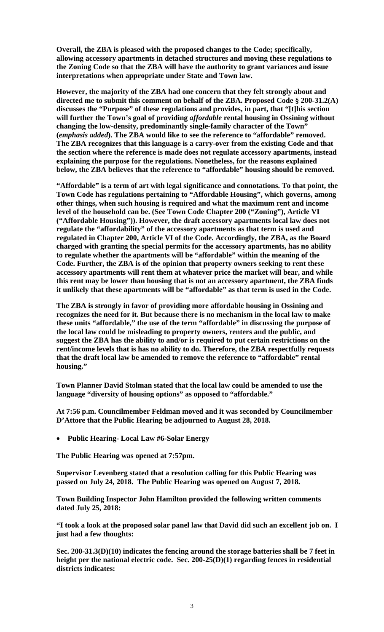**Overall, the ZBA is pleased with the proposed changes to the Code; specifically, allowing accessory apartments in detached structures and moving these regulations to the Zoning Code so that the ZBA will have the authority to grant variances and issue interpretations when appropriate under State and Town law.** 

**However, the majority of the ZBA had one concern that they felt strongly about and directed me to submit this comment on behalf of the ZBA. Proposed Code § 200-31.2(A) discusses the "Purpose" of these regulations and provides, in part, that "[t]his section will further the Town's goal of providing** *affordable* **rental housing in Ossining without changing the low-density, predominantly single-family character of the Town" (***emphasis added***). The ZBA would like to see the reference to "affordable" removed. The ZBA recognizes that this language is a carry-over from the existing Code and that the section where the reference is made does not regulate accessory apartments, instead explaining the purpose for the regulations. Nonetheless, for the reasons explained below, the ZBA believes that the reference to "affordable" housing should be removed.** 

**"Affordable" is a term of art with legal significance and connotations. To that point, the Town Code has regulations pertaining to "Affordable Housing", which governs, among other things, when such housing is required and what the maximum rent and income level of the household can be. (See Town Code Chapter 200 ("Zoning"), Article VI ("Affordable Housing")). However, the draft accessory apartments local law does not regulate the "affordability" of the accessory apartments as that term is used and regulated in Chapter 200, Article VI of the Code. Accordingly, the ZBA, as the Board charged with granting the special permits for the accessory apartments, has no ability to regulate whether the apartments will be "affordable" within the meaning of the Code. Further, the ZBA is of the opinion that property owners seeking to rent these accessory apartments will rent them at whatever price the market will bear, and while this rent may be lower than housing that is not an accessory apartment, the ZBA finds it unlikely that these apartments will be "affordable" as that term is used in the Code.** 

**The ZBA is strongly in favor of providing more affordable housing in Ossining and recognizes the need for it. But because there is no mechanism in the local law to make these units "affordable," the use of the term "affordable" in discussing the purpose of the local law could be misleading to property owners, renters and the public, and suggest the ZBA has the ability to and/or is required to put certain restrictions on the rent/income levels that is has no ability to do. Therefore, the ZBA respectfully requests that the draft local law be amended to remove the reference to "affordable" rental housing."** 

**Town Planner David Stolman stated that the local law could be amended to use the language "diversity of housing options" as opposed to "affordable."** 

**At 7:56 p.m. Councilmember Feldman moved and it was seconded by Councilmember D'Attore that the Public Hearing be adjourned to August 28, 2018.** 

**Public Hearing- Local Law #6-Solar Energy** 

**The Public Hearing was opened at 7:57pm.** 

**Supervisor Levenberg stated that a resolution calling for this Public Hearing was passed on July 24, 2018. The Public Hearing was opened on August 7, 2018.** 

**Town Building Inspector John Hamilton provided the following written comments dated July 25, 2018:** 

**"I took a look at the proposed solar panel law that David did such an excellent job on. I just had a few thoughts:** 

**Sec. 200-31.3(D)(10) indicates the fencing around the storage batteries shall be 7 feet in height per the national electric code. Sec. 200-25(D)(1) regarding fences in residential districts indicates:**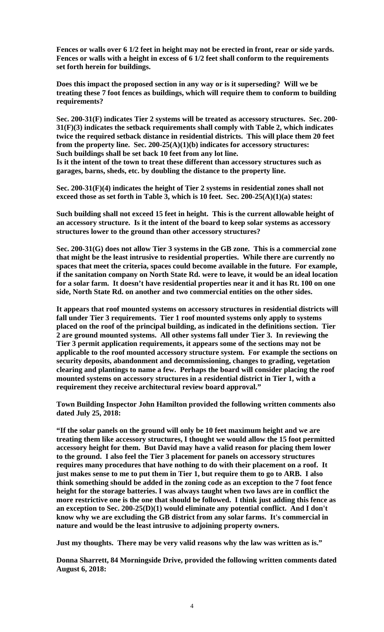**Fences or walls over 6 1/2 feet in height may not be erected in front, rear or side yards. Fences or walls with a height in excess of 6 1/2 feet shall conform to the requirements set forth herein for buildings.** 

**Does this impact the proposed section in any way or is it superseding? Will we be treating these 7 foot fences as buildings, which will require them to conform to building requirements?** 

**Sec. 200-31(F) indicates Tier 2 systems will be treated as accessory structures. Sec. 200- 31(F)(3) indicates the setback requirements shall comply with Table 2, which indicates twice the required setback distance in residential districts. This will place them 20 feet from the property line. Sec. 200-25(A)(1)(b) indicates for accessory structures: Such buildings shall be set back 10 feet from any lot line.** 

**Is it the intent of the town to treat these different than accessory structures such as garages, barns, sheds, etc. by doubling the distance to the property line.** 

**Sec. 200-31(F)(4) indicates the height of Tier 2 systems in residential zones shall not exceed those as set forth in Table 3, which is 10 feet. Sec. 200-25(A)(1)(a) states:** 

**Such building shall not exceed 15 feet in height. This is the current allowable height of an accessory structure. Is it the intent of the board to keep solar systems as accessory structures lower to the ground than other accessory structures?** 

**Sec. 200-31(G) does not allow Tier 3 systems in the GB zone. This is a commercial zone that might be the least intrusive to residential properties. While there are currently no spaces that meet the criteria, spaces could become available in the future. For example, if the sanitation company on North State Rd. were to leave, it would be an ideal location for a solar farm. It doesn't have residential properties near it and it has Rt. 100 on one side, North State Rd. on another and two commercial entities on the other sides.** 

**It appears that roof mounted systems on accessory structures in residential districts will fall under Tier 3 requirements. Tier 1 roof mounted systems only apply to systems placed on the roof of the principal building, as indicated in the definitions section. Tier 2 are ground mounted systems. All other systems fall under Tier 3. In reviewing the Tier 3 permit application requirements, it appears some of the sections may not be applicable to the roof mounted accessory structure system. For example the sections on security deposits, abandonment and decommissioning, changes to grading, vegetation clearing and plantings to name a few. Perhaps the board will consider placing the roof mounted systems on accessory structures in a residential district in Tier 1, with a requirement they receive architectural review board approval."** 

**Town Building Inspector John Hamilton provided the following written comments also dated July 25, 2018:** 

**"If the solar panels on the ground will only be 10 feet maximum height and we are treating them like accessory structures, I thought we would allow the 15 foot permitted accessory height for them. But David may have a valid reason for placing them lower to the ground. I also feel the Tier 3 placement for panels on accessory structures requires many procedures that have nothing to do with their placement on a roof. It just makes sense to me to put them in Tier 1, but require them to go to ARB. I also think something should be added in the zoning code as an exception to the 7 foot fence height for the storage batteries. I was always taught when two laws are in conflict the more restrictive one is the one that should be followed. I think just adding this fence as an exception to Sec. 200-25(D)(1) would eliminate any potential conflict. And I don't know why we are excluding the GB district from any solar farms. It's commercial in nature and would be the least intrusive to adjoining property owners.** 

**Just my thoughts. There may be very valid reasons why the law was written as is."** 

**Donna Sharrett, 84 Morningside Drive, provided the following written comments dated August 6, 2018:**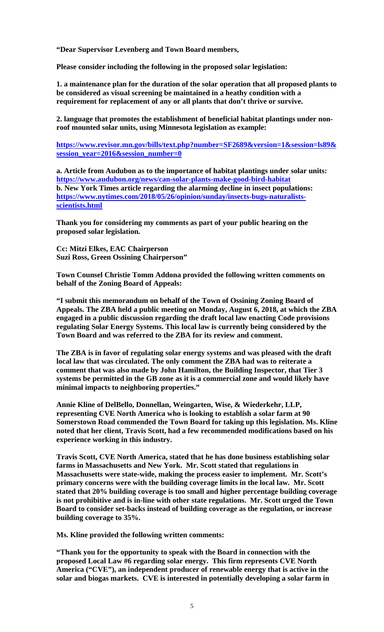**"Dear Supervisor Levenberg and Town Board members,** 

**Please consider including the following in the proposed solar legislation:** 

**1. a maintenance plan for the duration of the solar operation that all proposed plants to be considered as visual screening be maintained in a heathy condition with a requirement for replacement of any or all plants that don't thrive or survive.** 

**2. language that promotes the establishment of beneficial habitat plantings under nonroof mounted solar units, using Minnesota legislation as example:** 

**https://www.revisor.mn.gov/bills/text.php?number=SF2689&version=1&session=ls89& session\_year=2016&session\_number=0**

**a. Article from Audubon as to the importance of habitat plantings under solar units: https://www.audubon.org/news/can-solar-plants-make-good-bird-habitat b. New York Times article regarding the alarming decline in insect populations: https://www.nytimes.com/2018/05/26/opinion/sunday/insects-bugs-naturalistsscientists.html** 

**Thank you for considering my comments as part of your public hearing on the proposed solar legislation.** 

**Cc: Mitzi Elkes, EAC Chairperson Suzi Ross, Green Ossining Chairperson"** 

**Town Counsel Christie Tomm Addona provided the following written comments on behalf of the Zoning Board of Appeals:** 

**"I submit this memorandum on behalf of the Town of Ossining Zoning Board of Appeals. The ZBA held a public meeting on Monday, August 6, 2018, at which the ZBA engaged in a public discussion regarding the draft local law enacting Code provisions regulating Solar Energy Systems. This local law is currently being considered by the Town Board and was referred to the ZBA for its review and comment.** 

**The ZBA is in favor of regulating solar energy systems and was pleased with the draft local law that was circulated. The only comment the ZBA had was to reiterate a comment that was also made by John Hamilton, the Building Inspector, that Tier 3 systems be permitted in the GB zone as it is a commercial zone and would likely have minimal impacts to neighboring properties."** 

**Annie Kline of DelBello, Donnellan, Weingarten, Wise, & Wiederkehr, LLP, representing CVE North America who is looking to establish a solar farm at 90 Somerstown Road commended the Town Board for taking up this legislation. Ms. Kline noted that her client, Travis Scott, had a few recommended modifications based on his experience working in this industry.** 

**Travis Scott, CVE North America, stated that he has done business establishing solar farms in Massachusetts and New York. Mr. Scott stated that regulations in Massachusetts were state-wide, making the process easier to implement. Mr. Scott's primary concerns were with the building coverage limits in the local law. Mr. Scott stated that 20% building coverage is too small and higher percentage building coverage is not prohibitive and is in-line with other state regulations. Mr. Scott urged the Town Board to consider set-backs instead of building coverage as the regulation, or increase building coverage to 35%.** 

**Ms. Kline provided the following written comments:** 

**"Thank you for the opportunity to speak with the Board in connection with the proposed Local Law #6 regarding solar energy. This firm represents CVE North America ("CVE"), an independent producer of renewable energy that is active in the solar and biogas markets. CVE is interested in potentially developing a solar farm in**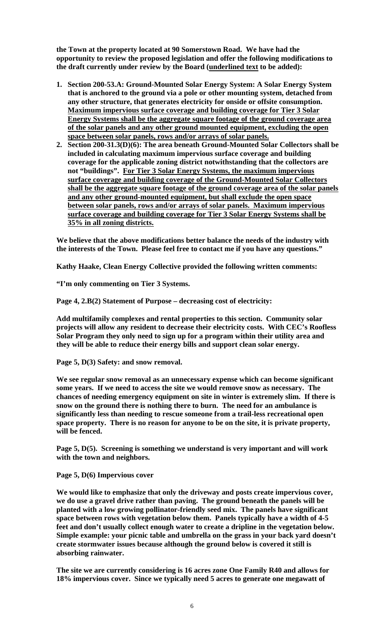**the Town at the property located at 90 Somerstown Road. We have had the opportunity to review the proposed legislation and offer the following modifications to the draft currently under review by the Board (underlined text to be added):** 

- **1. Section 200-53.A: Ground-Mounted Solar Energy System: A Solar Energy System that is anchored to the ground via a pole or other mounting system, detached from any other structure, that generates electricity for onside or offsite consumption. Maximum impervious surface coverage and building coverage for Tier 3 Solar Energy Systems shall be the aggregate square footage of the ground coverage area of the solar panels and any other ground mounted equipment, excluding the open space between solar panels, rows and/or arrays of solar panels.**
- **2. Section 200-31.3(D)(6): The area beneath Ground-Mounted Solar Collectors shall be included in calculating maximum impervious surface coverage and building coverage for the applicable zoning district notwithstanding that the collectors are not "buildings". For Tier 3 Solar Energy Systems, the maximum impervious surface coverage and building coverage of the Ground-Mounted Solar Collectors shall be the aggregate square footage of the ground coverage area of the solar panels and any other ground-mounted equipment, but shall exclude the open space between solar panels, rows and/or arrays of solar panels. Maximum impervious surface coverage and building coverage for Tier 3 Solar Energy Systems shall be 35% in all zoning districts.**

**We believe that the above modifications better balance the needs of the industry with the interests of the Town. Please feel free to contact me if you have any questions."** 

**Kathy Haake, Clean Energy Collective provided the following written comments:** 

**"I'm only commenting on Tier 3 Systems.** 

**Page 4, 2.B(2) Statement of Purpose – decreasing cost of electricity:** 

**Add multifamily complexes and rental properties to this section. Community solar projects will allow any resident to decrease their electricity costs. With CEC's Roofless Solar Program they only need to sign up for a program within their utility area and they will be able to reduce their energy bills and support clean solar energy.** 

**Page 5, D(3) Safety: and snow removal.** 

**We see regular snow removal as an unnecessary expense which can become significant some years. If we need to access the site we would remove snow as necessary. The chances of needing emergency equipment on site in winter is extremely slim. If there is snow on the ground there is nothing there to burn. The need for an ambulance is significantly less than needing to rescue someone from a trail-less recreational open space property. There is no reason for anyone to be on the site, it is private property, will be fenced.** 

**Page 5, D(5). Screening is something we understand is very important and will work with the town and neighbors.** 

**Page 5, D(6) Impervious cover** 

**We would like to emphasize that only the driveway and posts create impervious cover, we do use a gravel drive rather than paving. The ground beneath the panels will be planted with a low growing pollinator-friendly seed mix. The panels have significant space between rows with vegetation below them. Panels typically have a width of 4-5 feet and don't usually collect enough water to create a dripline in the vegetation below. Simple example: your picnic table and umbrella on the grass in your back yard doesn't create stormwater issues because although the ground below is covered it still is absorbing rainwater.** 

**The site we are currently considering is 16 acres zone One Family R40 and allows for 18% impervious cover. Since we typically need 5 acres to generate one megawatt of**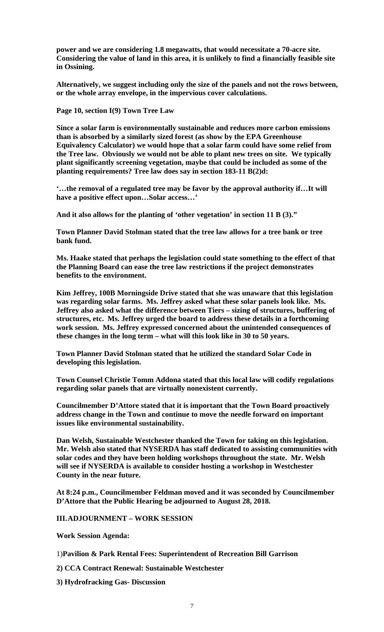**power and we are considering 1.8 megawatts, that would necessitate a 70-acre site. Considering the value of land in this area, it is unlikely to find a financially feasible site in Ossining.** 

**Alternatively, we suggest including only the size of the panels and not the rows between, or the whole array envelope, in the impervious cover calculations.** 

**Page 10, section I(9) Town Tree Law** 

**Since a solar farm is environmentally sustainable and reduces more carbon emissions than is absorbed by a similarly sized forest (as show by the EPA Greenhouse Equivalency Calculator) we would hope that a solar farm could have some relief from the Tree law. Obviously we would not be able to plant new trees on site. We typically plant significantly screening vegetation, maybe that could be included as some of the planting requirements? Tree law does say in section 183-11 B(2)d:** 

**'…the removal of a regulated tree may be favor by the approval authority if…It will have a positive effect upon…Solar access…'** 

**And it also allows for the planting of 'other vegetation' in section 11 B (3)."** 

**Town Planner David Stolman stated that the tree law allows for a tree bank or tree bank fund.** 

**Ms. Haake stated that perhaps the legislation could state something to the effect of that the Planning Board can ease the tree law restrictions if the project demonstrates benefits to the environment.** 

**Kim Jeffrey, 100B Morningside Drive stated that she was unaware that this legislation was regarding solar farms. Ms. Jeffrey asked what these solar panels look like. Ms. Jeffrey also asked what the difference between Tiers – sizing of structures, buffering of structures, etc. Ms. Jeffrey urged the board to address these details in a forthcoming work session. Ms. Jeffrey expressed concerned about the unintended consequences of these changes in the long term – what will this look like in 30 to 50 years.** 

**Town Planner David Stolman stated that he utilized the standard Solar Code in developing this legislation.** 

**Town Counsel Christie Tomm Addona stated that this local law will codify regulations regarding solar panels that are virtually nonexistent currently.** 

**Councilmember D'Attore stated that it is important that the Town Board proactively address change in the Town and continue to move the needle forward on important issues like environmental sustainability.** 

**Dan Welsh, Sustainable Westchester thanked the Town for taking on this legislation. Mr. Welsh also stated that NYSERDA has staff dedicated to assisting communities with solar codes and they have been holding workshops throughout the state. Mr. Welsh will see if NYSERDA is available to consider hosting a workshop in Westchester County in the near future.** 

**At 8:24 p.m., Councilmember Feldman moved and it was seconded by Councilmember D'Attore that the Public Hearing be adjourned to August 28, 2018.** 

**III.ADJOURNMENT – WORK SESSION** 

**Work Session Agenda:** 

1)**Pavilion & Park Rental Fees: Superintendent of Recreation Bill Garrison**

- **2) CCA Contract Renewal: Sustainable Westchester**
- **3) Hydrofracking Gas- Discussion**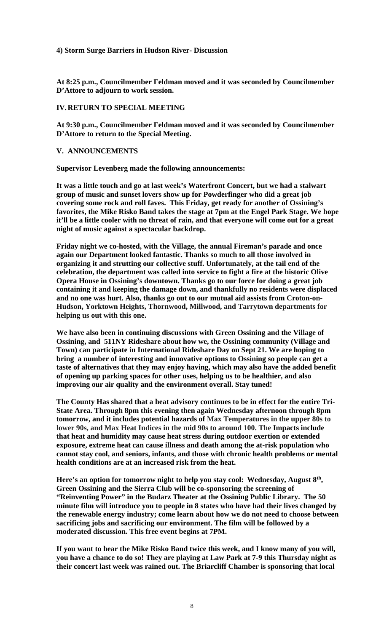## **4) Storm Surge Barriers in Hudson River- Discussion**

**At 8:25 p.m., Councilmember Feldman moved and it was seconded by Councilmember D'Attore to adjourn to work session.** 

## **IV.RETURN TO SPECIAL MEETING**

**At 9:30 p.m., Councilmember Feldman moved and it was seconded by Councilmember D'Attore to return to the Special Meeting.** 

# **V. ANNOUNCEMENTS**

**Supervisor Levenberg made the following announcements:** 

**It was a little touch and go at last week's Waterfront Concert, but we had a stalwart group of music and sunset lovers show up for Powderfinger who did a great job covering some rock and roll faves. This Friday, get ready for another of Ossining's favorites, the Mike Risko Band takes the stage at 7pm at the Engel Park Stage. We hope it'll be a little cooler with no threat of rain, and that everyone will come out for a great night of music against a spectacular backdrop.** 

**Friday night we co-hosted, with the Village, the annual Fireman's parade and once again our Department looked fantastic. Thanks so much to all those involved in organizing it and strutting our collective stuff. Unfortunately, at the tail end of the celebration, the department was called into service to fight a fire at the historic Olive Opera House in Ossining's downtown. Thanks go to our force for doing a great job containing it and keeping the damage down, and thankfully no residents were displaced and no one was hurt. Also, thanks go out to our mutual aid assists from Croton-on-Hudson, Yorktown Heights, Thornwood, Millwood, and Tarrytown departments for helping us out with this one.**

**We have also been in continuing discussions with Green Ossining and the Village of Ossining, and 511NY Rideshare about how we, the Ossining community (Village and Town) can participate in International Rideshare Day on Sept 21. We are hoping to bring a number of interesting and innovative options to Ossining so people can get a taste of alternatives that they may enjoy having, which may also have the added benefit of opening up parking spaces for other uses, helping us to be healthier, and also improving our air quality and the environment overall. Stay tuned!** 

**The County Has shared that a heat advisory continues to be in effect for the entire Tri-State Area. Through 8pm this evening then again Wednesday afternoon through 8pm tomorrow, and it includes potential hazards of Max Temperatures in the upper 80s to lower 90s, and Max Heat Indices in the mid 90s to around 100. The Impacts include that heat and humidity may cause heat stress during outdoor exertion or extended exposure, extreme heat can cause illness and death among the at-risk population who cannot stay cool, and seniors, infants, and those with chronic health problems or mental health conditions are at an increased risk from the heat.** 

Here's an option for tomorrow night to help you stay cool: Wednesday, August 8<sup>th</sup>, **Green Ossining and the Sierra Club will be co-sponsoring the screening of "Reinventing Power" in the Budarz Theater at the Ossining Public Library. The 50 minute film will introduce you to people in 8 states who have had their lives changed by the renewable energy industry; come learn about how we do not need to choose between sacrificing jobs and sacrificing our environment. The film will be followed by a moderated discussion. This free event begins at 7PM.** 

**If you want to hear the Mike Risko Band twice this week, and I know many of you will, you have a chance to do so! They are playing at Law Park at 7-9 this Thursday night as their concert last week was rained out. The Briarcliff Chamber is sponsoring that local**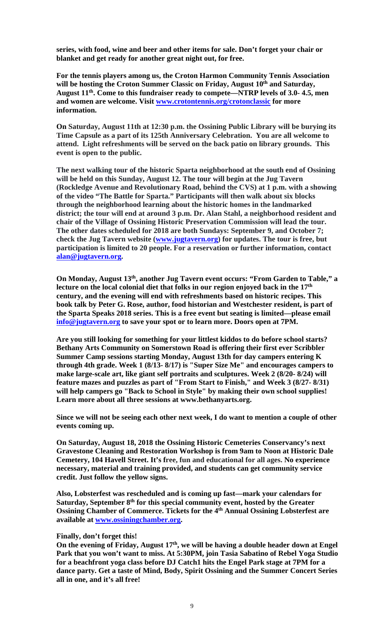**series, with food, wine and beer and other items for sale. Don't forget your chair or blanket and get ready for another great night out, for free.** 

**For the tennis players among us, the Croton Harmon Community Tennis Association**  will be hosting the Croton Summer Classic on Friday, August 10<sup>th</sup> and Saturday, **August 11th. Come to this fundraiser ready to compete—NTRP levels of 3.0- 4.5, men and women are welcome. Visit www.crotontennis.org/crotonclassic for more information.** 

**On Saturday, August 11th at 12:30 p.m. the Ossining Public Library will be burying its Time Capsule as a part of its 125th Anniversary Celebration. You are all welcome to attend. Light refreshments will be served on the back patio on library grounds. This event is open to the public.** 

**The next walking tour of the historic Sparta neighborhood at the south end of Ossining will be held on this Sunday, August 12. The tour will begin at the Jug Tavern (Rockledge Avenue and Revolutionary Road, behind the CVS) at 1 p.m. with a showing of the video "The Battle for Sparta." Participants will then walk about six blocks through the neighborhood learning about the historic homes in the landmarked district; the tour will end at around 3 p.m. Dr. Alan Stahl, a neighborhood resident and chair of the Village of Ossining Historic Preservation Commission will lead the tour. The other dates scheduled for 2018 are both Sundays: September 9, and October 7; check the Jug Tavern website (www.jugtavern.org) for updates. The tour is free, but participation is limited to 20 people. For a reservation or further information, contact alan@jugtavern.org.**

**On Monday, August 13th, another Jug Tavern event occurs: "From Garden to Table," a lecture on the local colonial diet that folks in our region enjoyed back in the 17th century, and the evening will end with refreshments based on historic recipes. This book talk by Peter G. Rose, author, food historian and Westchester resident, is part of the Sparta Speaks 2018 series. This is a free event but seating is limited—please email info@jugtavern.org to save your spot or to learn more. Doors open at 7PM.** 

**Are you still looking for something for your littlest kiddos to do before school starts? Bethany Arts Community on Somerstown Road is offering their first ever Scribbler Summer Camp sessions starting Monday, August 13th for day campers entering K through 4th grade. Week 1 (8/13- 8/17) is "Super Size Me" and encourages campers to make large-scale art, like giant self portraits and sculptures. Week 2 (8/20- 8/24) will feature mazes and puzzles as part of "From Start to Finish," and Week 3 (8/27- 8/31) will help campers go "Back to School in Style" by making their own school supplies! Learn more about all three sessions at www.bethanyarts.org.**

**Since we will not be seeing each other next week, I do want to mention a couple of other events coming up.** 

**On Saturday, August 18, 2018 the Ossining Historic Cemeteries Conservancy's next Gravestone Cleaning and Restoration Workshop is from 9am to Noon at Historic Dale Cemetery, 104 Havell Street. It's free, fun and educational for all ages. No experience necessary, material and training provided, and students can get community service credit. Just follow the yellow signs.** 

**Also, Lobsterfest was rescheduled and is coming up fast—mark your calendars for**  Saturday, September 8<sup>th</sup> for this special community event, hosted by the Greater **Ossining Chamber of Commerce. Tickets for the 4th Annual Ossining Lobsterfest are available at www.ossiningchamber.org.** 

#### **Finally, don't forget this!**

On the evening of Friday, August 17<sup>th</sup>, we will be having a double header down at Engel **Park that you won't want to miss. At 5:30PM, join Tasia Sabatino of Rebel Yoga Studio for a beachfront yoga class before DJ Catch1 hits the Engel Park stage at 7PM for a dance party. Get a taste of Mind, Body, Spirit Ossining and the Summer Concert Series all in one, and it's all free!**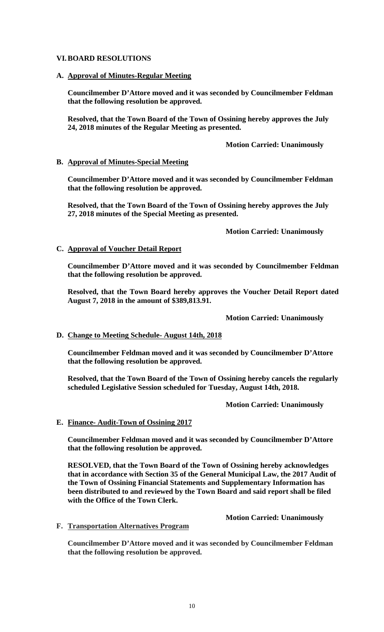## **VI.BOARD RESOLUTIONS**

## **A. Approval of Minutes-Regular Meeting**

**Councilmember D'Attore moved and it was seconded by Councilmember Feldman that the following resolution be approved.** 

**Resolved, that the Town Board of the Town of Ossining hereby approves the July 24, 2018 minutes of the Regular Meeting as presented.** 

 **Motion Carried: Unanimously** 

# **B. Approval of Minutes-Special Meeting**

**Councilmember D'Attore moved and it was seconded by Councilmember Feldman that the following resolution be approved.** 

**Resolved, that the Town Board of the Town of Ossining hereby approves the July 27, 2018 minutes of the Special Meeting as presented.** 

# **Motion Carried: Unanimously**

# **C. Approval of Voucher Detail Report**

**Councilmember D'Attore moved and it was seconded by Councilmember Feldman that the following resolution be approved.** 

**Resolved, that the Town Board hereby approves the Voucher Detail Report dated August 7, 2018 in the amount of \$389,813.91.** 

 **Motion Carried: Unanimously** 

# **D. Change to Meeting Schedule- August 14th, 2018**

**Councilmember Feldman moved and it was seconded by Councilmember D'Attore that the following resolution be approved.** 

**Resolved, that the Town Board of the Town of Ossining hereby cancels the regularly scheduled Legislative Session scheduled for Tuesday, August 14th, 2018.** 

## **Motion Carried: Unanimously**

## **E. Finance- Audit-Town of Ossining 2017**

**Councilmember Feldman moved and it was seconded by Councilmember D'Attore that the following resolution be approved.** 

**RESOLVED, that the Town Board of the Town of Ossining hereby acknowledges that in accordance with Section 35 of the General Municipal Law, the 2017 Audit of the Town of Ossining Financial Statements and Supplementary Information has been distributed to and reviewed by the Town Board and said report shall be filed with the Office of the Town Clerk.** 

## **Motion Carried: Unanimously**

**F. Transportation Alternatives Program**

**Councilmember D'Attore moved and it was seconded by Councilmember Feldman that the following resolution be approved.**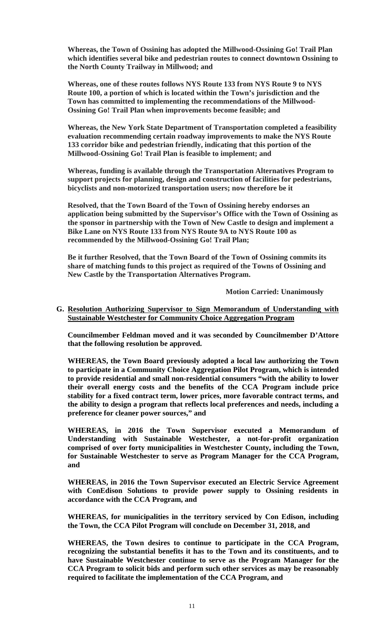**Whereas, the Town of Ossining has adopted the Millwood-Ossining Go! Trail Plan which identifies several bike and pedestrian routes to connect downtown Ossining to the North County Trailway in Millwood; and**

**Whereas, one of these routes follows NYS Route 133 from NYS Route 9 to NYS Route 100, a portion of which is located within the Town's jurisdiction and the Town has committed to implementing the recommendations of the Millwood-Ossining Go! Trail Plan when improvements become feasible; and**

**Whereas, the New York State Department of Transportation completed a feasibility evaluation recommending certain roadway improvements to make the NYS Route 133 corridor bike and pedestrian friendly, indicating that this portion of the Millwood-Ossining Go! Trail Plan is feasible to implement; and**

**Whereas, funding is available through the Transportation Alternatives Program to support projects for planning, design and construction of facilities for pedestrians, bicyclists and non-motorized transportation users; now therefore be it**

**Resolved, that the Town Board of the Town of Ossining hereby endorses an application being submitted by the Supervisor's Office with the Town of Ossining as the sponsor in partnership with the Town of New Castle to design and implement a Bike Lane on NYS Route 133 from NYS Route 9A to NYS Route 100 as recommended by the Millwood-Ossining Go! Trail Plan;**

**Be it further Resolved, that the Town Board of the Town of Ossining commits its share of matching funds to this project as required of the Towns of Ossining and New Castle by the Transportation Alternatives Program.** 

 **Motion Carried: Unanimously** 

#### **G. Resolution Authorizing Supervisor to Sign Memorandum of Understanding with Sustainable Westchester for Community Choice Aggregation Program**

**Councilmember Feldman moved and it was seconded by Councilmember D'Attore that the following resolution be approved.** 

**WHEREAS, the Town Board previously adopted a local law authorizing the Town to participate in a Community Choice Aggregation Pilot Program, which is intended to provide residential and small non-residential consumers "with the ability to lower their overall energy costs and the benefits of the CCA Program include price stability for a fixed contract term, lower prices, more favorable contract terms, and the ability to design a program that reflects local preferences and needs, including a preference for cleaner power sources," and** 

**WHEREAS, in 2016 the Town Supervisor executed a Memorandum of Understanding with Sustainable Westchester, a not-for-profit organization comprised of over forty municipalities in Westchester County, including the Town, for Sustainable Westchester to serve as Program Manager for the CCA Program, and** 

**WHEREAS, in 2016 the Town Supervisor executed an Electric Service Agreement with ConEdison Solutions to provide power supply to Ossining residents in accordance with the CCA Program, and** 

**WHEREAS, for municipalities in the territory serviced by Con Edison, including the Town, the CCA Pilot Program will conclude on December 31, 2018, and** 

**WHEREAS, the Town desires to continue to participate in the CCA Program, recognizing the substantial benefits it has to the Town and its constituents, and to have Sustainable Westchester continue to serve as the Program Manager for the CCA Program to solicit bids and perform such other services as may be reasonably required to facilitate the implementation of the CCA Program, and**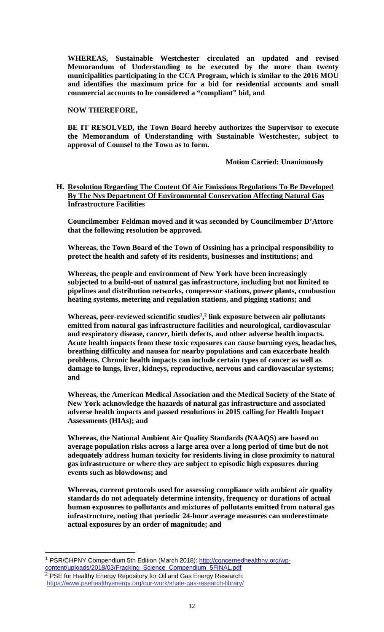**WHEREAS, Sustainable Westchester circulated an updated and revised Memorandum of Understanding to be executed by the more than twenty municipalities participating in the CCA Program, which is similar to the 2016 MOU and identifies the maximum price for a bid for residential accounts and small commercial accounts to be considered a "compliant" bid, and** 

**NOW THEREFORE,** 

**BE IT RESOLVED, the Town Board hereby authorizes the Supervisor to execute the Memorandum of Understanding with Sustainable Westchester, subject to approval of Counsel to the Town as to form.** 

 **Motion Carried: Unanimously** 

**H. Resolution Regarding The Content Of Air Emissions Regulations To Be Developed By The Nys Department Of Environmental Conservation Affecting Natural Gas Infrastructure Facilities** 

**Councilmember Feldman moved and it was seconded by Councilmember D'Attore that the following resolution be approved.** 

**Whereas, the Town Board of the Town of Ossining has a principal responsibility to protect the health and safety of its residents, businesses and institutions; and** 

**Whereas, the people and environment of New York have been increasingly subjected to a build-out of natural gas infrastructure, including but not limited to pipelines and distribution networks, compressor stations, power plants, combustion heating systems, metering and regulation stations, and pigging stations; and** 

Whereas, peer-reviewed scientific studies<sup>1</sup>,<sup>2</sup> link exposure between air pollutants **emitted from natural gas infrastructure facilities and neurological, cardiovascular and respiratory disease, cancer, birth defects, and other adverse health impacts. Acute health impacts from these toxic exposures can cause burning eyes, headaches, breathing difficulty and nausea for nearby populations and can exacerbate health problems. Chronic health impacts can include certain types of cancer as well as damage to lungs, liver, kidneys, reproductive, nervous and cardiovascular systems; and** 

**Whereas, the American Medical Association and the Medical Society of the State of New York acknowledge the hazards of natural gas infrastructure and associated adverse health impacts and passed resolutions in 2015 calling for Health Impact Assessments (HIAs); and** 

**Whereas, the National Ambient Air Quality Standards (NAAQS) are based on average population risks across a large area over a long period of time but do not adequately address human toxicity for residents living in close proximity to natural gas infrastructure or where they are subject to episodic high exposures during events such as blowdowns; and** 

**Whereas, current protocols used for assessing compliance with ambient air quality standards do not adequately determine intensity, frequency or durations of actual human exposures to pollutants and mixtures of pollutants emitted from natural gas infrastructure, noting that periodic 24-hour average measures can underestimate actual exposures by an order of magnitude; and** 

 $\overline{a}$ 

<sup>1</sup> PSR/CHPNY Compendium 5th Edition (March 2018): http://concernedhealthny.org/wpcontent/uploads/2018/03/Fracking\_Science\_Compendium\_5FINAL.pdf <sup>2</sup> PSE for Healthy Energy Repository for Oil and Gas Energy Research: https://www.psehealthyenergy.org/our-work/shale-gas-research-library/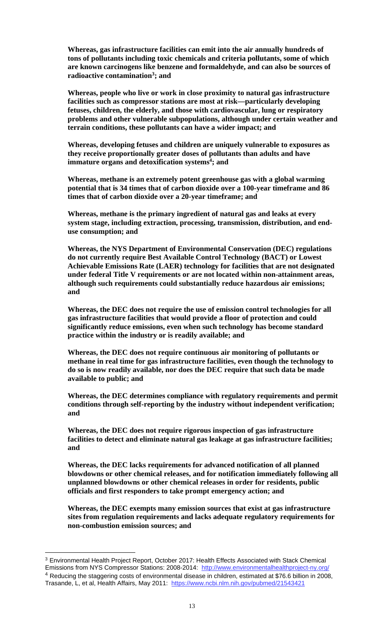**Whereas, gas infrastructure facilities can emit into the air annually hundreds of tons of pollutants including toxic chemicals and criteria pollutants, some of which are known carcinogens like benzene and formaldehyde, and can also be sources of radioactive contamination3 ; and** 

**Whereas, people who live or work in close proximity to natural gas infrastructure facilities such as compressor stations are most at risk—particularly developing fetuses, children, the elderly, and those with cardiovascular, lung or respiratory problems and other vulnerable subpopulations, although under certain weather and terrain conditions, these pollutants can have a wider impact; and** 

**Whereas, developing fetuses and children are uniquely vulnerable to exposures as they receive proportionally greater doses of pollutants than adults and have immature organs and detoxification systems<sup>4</sup>; and** 

**Whereas, methane is an extremely potent greenhouse gas with a global warming potential that is 34 times that of carbon dioxide over a 100-year timeframe and 86 times that of carbon dioxide over a 20-year timeframe; and** 

**Whereas, methane is the primary ingredient of natural gas and leaks at every system stage, including extraction, processing, transmission, distribution, and enduse consumption; and** 

**Whereas, the NYS Department of Environmental Conservation (DEC) regulations do not currently require Best Available Control Technology (BACT) or Lowest Achievable Emissions Rate (LAER) technology for facilities that are not designated under federal Title V requirements or are not located within non-attainment areas, although such requirements could substantially reduce hazardous air emissions; and** 

**Whereas, the DEC does not require the use of emission control technologies for all gas infrastructure facilities that would provide a floor of protection and could significantly reduce emissions, even when such technology has become standard practice within the industry or is readily available; and** 

**Whereas, the DEC does not require continuous air monitoring of pollutants or methane in real time for gas infrastructure facilities, even though the technology to do so is now readily available, nor does the DEC require that such data be made available to public; and** 

**Whereas, the DEC determines compliance with regulatory requirements and permit conditions through self-reporting by the industry without independent verification; and** 

**Whereas, the DEC does not require rigorous inspection of gas infrastructure facilities to detect and eliminate natural gas leakage at gas infrastructure facilities; and** 

**Whereas, the DEC lacks requirements for advanced notification of all planned blowdowns or other chemical releases, and for notification immediately following all unplanned blowdowns or other chemical releases in order for residents, public officials and first responders to take prompt emergency action; and** 

**Whereas, the DEC exempts many emission sources that exist at gas infrastructure sites from regulation requirements and lacks adequate regulatory requirements for non-combustion emission sources; and** 

 $\overline{a}$ 

<sup>3</sup> Environmental Health Project Report, October 2017: Health Effects Associated with Stack Chemical Emissions from NYS Compressor Stations: 2008-2014: http://www.environmentalhealthproject-ny.org/<br>4 Reducing the staggering costs of environmental disease in children, estimated at \$76.6 billion in 2008, Trasande, L, et al, Health Affairs, May 2011: https://www.ncbi.nlm.nih.gov/pubmed/21543421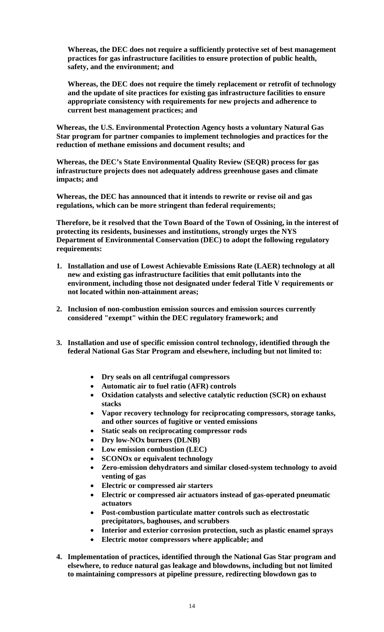**Whereas, the DEC does not require a sufficiently protective set of best management practices for gas infrastructure facilities to ensure protection of public health, safety, and the environment; and** 

**Whereas, the DEC does not require the timely replacement or retrofit of technology and the update of site practices for existing gas infrastructure facilities to ensure appropriate consistency with requirements for new projects and adherence to current best management practices; and** 

**Whereas, the U.S. Environmental Protection Agency hosts a voluntary Natural Gas Star program for partner companies to implement technologies and practices for the reduction of methane emissions and document results; and** 

**Whereas, the DEC's State Environmental Quality Review (SEQR) process for gas infrastructure projects does not adequately address greenhouse gases and climate impacts; and** 

**Whereas, the DEC has announced that it intends to rewrite or revise oil and gas regulations, which can be more stringent than federal requirements;** 

**Therefore, be it resolved that the Town Board of the Town of Ossining, in the interest of protecting its residents, businesses and institutions, strongly urges the NYS Department of Environmental Conservation (DEC) to adopt the following regulatory requirements:** 

- **1. Installation and use of Lowest Achievable Emissions Rate (LAER) technology at all new and existing gas infrastructure facilities that emit pollutants into the environment, including those not designated under federal Title V requirements or not located within non-attainment areas;**
- **2. Inclusion of non-combustion emission sources and emission sources currently considered "exempt" within the DEC regulatory framework; and**
- **3. Installation and use of specific emission control technology, identified through the federal National Gas Star Program and elsewhere, including but not limited to:** 
	- **Dry seals on all centrifugal compressors**
	- **Automatic air to fuel ratio (AFR) controls**
	- **Oxidation catalysts and selective catalytic reduction (SCR) on exhaust stacks**
	- **Vapor recovery technology for reciprocating compressors, storage tanks, and other sources of fugitive or vented emissions**
	- **Static seals on reciprocating compressor rods**
	- **Dry low-NOx burners (DLNB)**
	- **Low emission combustion (LEC)**
	- **SCONOx or equivalent technology**
	- **Zero-emission dehydrators and similar closed-system technology to avoid venting of gas**
	- **Electric or compressed air starters**
	- **Electric or compressed air actuators instead of gas-operated pneumatic actuators**
	- **Post-combustion particulate matter controls such as electrostatic precipitators, baghouses, and scrubbers**
	- **Interior and exterior corrosion protection, such as plastic enamel sprays**
	- **Electric motor compressors where applicable; and**
- **4. Implementation of practices, identified through the National Gas Star program and elsewhere, to reduce natural gas leakage and blowdowns, including but not limited to maintaining compressors at pipeline pressure, redirecting blowdown gas to**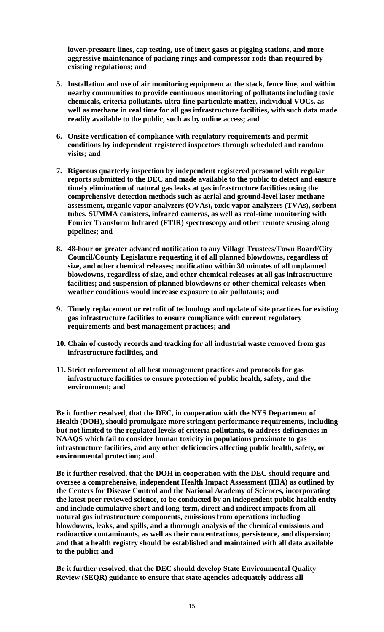**lower-pressure lines, cap testing, use of inert gases at pigging stations, and more aggressive maintenance of packing rings and compressor rods than required by existing regulations; and** 

- **5. Installation and use of air monitoring equipment at the stack, fence line, and within nearby communities to provide continuous monitoring of pollutants including toxic chemicals, criteria pollutants, ultra-fine particulate matter, individual VOCs, as well as methane in real time for all gas infrastructure facilities, with such data made readily available to the public, such as by online access; and**
- **6. Onsite verification of compliance with regulatory requirements and permit conditions by independent registered inspectors through scheduled and random visits; and**
- **7. Rigorous quarterly inspection by independent registered personnel with regular reports submitted to the DEC and made available to the public to detect and ensure timely elimination of natural gas leaks at gas infrastructure facilities using the comprehensive detection methods such as aerial and ground-level laser methane assessment, organic vapor analyzers (OVAs), toxic vapor analyzers (TVAs), sorbent tubes, SUMMA canisters, infrared cameras, as well as real-time monitoring with Fourier Transform Infrared (FTIR) spectroscopy and other remote sensing along pipelines; and**
- **8. 48-hour or greater advanced notification to any Village Trustees/Town Board/City Council/County Legislature requesting it of all planned blowdowns, regardless of size, and other chemical releases; notification within 30 minutes of all unplanned blowdowns, regardless of size, and other chemical releases at all gas infrastructure facilities; and suspension of planned blowdowns or other chemical releases when weather conditions would increase exposure to air pollutants; and**
- **9. Timely replacement or retrofit of technology and update of site practices for existing gas infrastructure facilities to ensure compliance with current regulatory requirements and best management practices; and**
- **10. Chain of custody records and tracking for all industrial waste removed from gas infrastructure facilities, and**
- **11. Strict enforcement of all best management practices and protocols for gas infrastructure facilities to ensure protection of public health, safety, and the environment; and**

**Be it further resolved, that the DEC, in cooperation with the NYS Department of Health (DOH), should promulgate more stringent performance requirements, including but not limited to the regulated levels of criteria pollutants, to address deficiencies in NAAQS which fail to consider human toxicity in populations proximate to gas infrastructure facilities, and any other deficiencies affecting public health, safety, or environmental protection; and** 

**Be it further resolved, that the DOH in cooperation with the DEC should require and oversee a comprehensive, independent Health Impact Assessment (HIA) as outlined by the Centers for Disease Control and the National Academy of Sciences, incorporating the latest peer reviewed science, to be conducted by an independent public health entity and include cumulative short and long***-***term, direct and indirect impacts from all natural gas infrastructure components, emissions from operations including blowdowns, leaks, and spills, and a thorough analysis of the chemical emissions and radioactive contaminants, as well as their concentrations, persistence, and dispersion; and that a health registry should be established and maintained with all data available to the public; and** 

**Be it further resolved, that the DEC should develop State Environmental Quality Review (SEQR) guidance to ensure that state agencies adequately address all**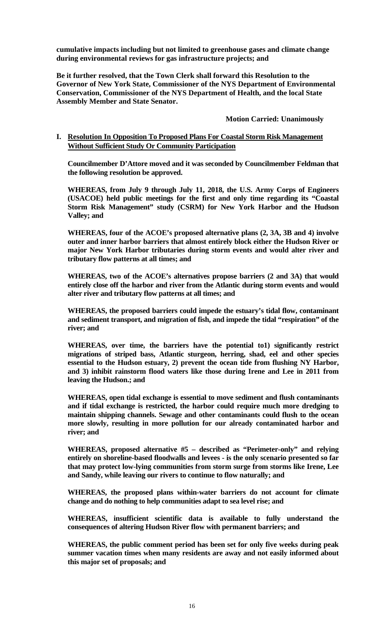**cumulative impacts including but not limited to greenhouse gases and climate change during environmental reviews for gas infrastructure projects; and** 

**Be it further resolved, that the Town Clerk shall forward this Resolution to the Governor of New York State, Commissioner of the NYS Department of Environmental Conservation, Commissioner of the NYS Department of Health, and the local State Assembly Member and State Senator.** 

 **Motion Carried: Unanimously** 

## **I. Resolution In Opposition To Proposed Plans For Coastal Storm Risk Management Without Sufficient Study Or Community Participation**

**Councilmember D'Attore moved and it was seconded by Councilmember Feldman that the following resolution be approved.** 

**WHEREAS, from July 9 through July 11, 2018, the U.S. Army Corps of Engineers (USACOE) held public meetings for the first and only time regarding its "Coastal Storm Risk Management" study (CSRM) for New York Harbor and the Hudson Valley; and** 

**WHEREAS, four of the ACOE's proposed alternative plans (2, 3A, 3B and 4) involve outer and inner harbor barriers that almost entirely block either the Hudson River or major New York Harbor tributaries during storm events and would alter river and tributary flow patterns at all times; and** 

**WHEREAS, two of the ACOE's alternatives propose barriers (2 and 3A) that would entirely close off the harbor and river from the Atlantic during storm events and would alter river and tributary flow patterns at all times; and** 

**WHEREAS, the proposed barriers could impede the estuary's tidal flow, contaminant and sediment transport, and migration of fish, and impede the tidal "respiration" of the river; and** 

**WHEREAS, over time, the barriers have the potential to1) significantly restrict migrations of striped bass, Atlantic sturgeon, herring, shad, eel and other species essential to the Hudson estuary, 2) prevent the ocean tide from flushing NY Harbor, and 3) inhibit rainstorm flood waters like those during Irene and Lee in 2011 from leaving the Hudson.; and** 

**WHEREAS, open tidal exchange is essential to move sediment and flush contaminants and if tidal exchange is restricted, the harbor could require much more dredging to maintain shipping channels. Sewage and other contaminants could flush to the ocean more slowly, resulting in more pollution for our already contaminated harbor and river; and** 

**WHEREAS, proposed alternative #5 – described as "Perimeter-only" and relying entirely on shoreline-based floodwalls and levees - is the only scenario presented so far that may protect low-lying communities from storm surge from storms like Irene, Lee and Sandy, while leaving our rivers to continue to flow naturally; and** 

**WHEREAS, the proposed plans within-water barriers do not account for climate change and do nothing to help communities adapt to sea level rise; and** 

 **WHEREAS, insufficient scientific data is available to fully understand the consequences of altering Hudson River flow with permanent barriers; and** 

**WHEREAS, the public comment period has been set for only five weeks during peak summer vacation times when many residents are away and not easily informed about this major set of proposals; and**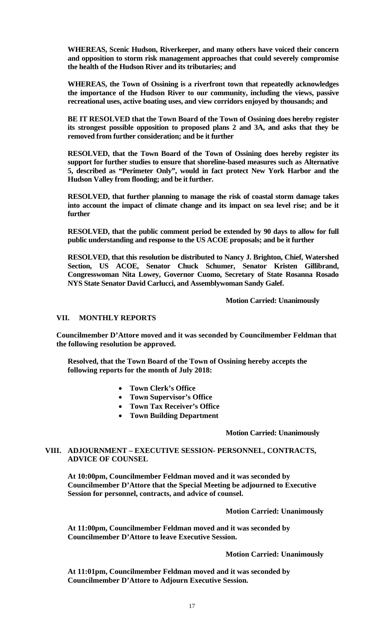**WHEREAS, Scenic Hudson, Riverkeeper, and many others have voiced their concern and opposition to storm risk management approaches that could severely compromise the health of the Hudson River and its tributaries; and** 

**WHEREAS, the Town of Ossining is a riverfront town that repeatedly acknowledges the importance of the Hudson River to our community, including the views, passive recreational uses, active boating uses, and view corridors enjoyed by thousands; and** 

**BE IT RESOLVED that the Town Board of the Town of Ossining does hereby register its strongest possible opposition to proposed plans 2 and 3A, and asks that they be removed from further consideration; and be it further** 

**RESOLVED, that the Town Board of the Town of Ossining does hereby register its support for further studies to ensure that shoreline-based measures such as Alternative 5, described as "Perimeter Only", would in fact protect New York Harbor and the Hudson Valley from flooding; and be it further.** 

**RESOLVED, that further planning to manage the risk of coastal storm damage takes into account the impact of climate change and its impact on sea level rise; and be it further** 

**RESOLVED, that the public comment period be extended by 90 days to allow for full public understanding and response to the US ACOE proposals; and be it further** 

**RESOLVED, that this resolution be distributed to Nancy J. Brighton, Chief, Watershed Section, US ACOE, Senator Chuck Schumer, Senator Kristen Gillibrand, Congresswoman Nita Lowey, Governor Cuomo, Secretary of State Rosanna Rosado NYS State Senator David Carlucci, and Assemblywoman Sandy Galef.** 

 **Motion Carried: Unanimously** 

## **VII. MONTHLY REPORTS**

**Councilmember D'Attore moved and it was seconded by Councilmember Feldman that the following resolution be approved.** 

**Resolved, that the Town Board of the Town of Ossining hereby accepts the following reports for the month of July 2018:**

- **Town Clerk's Office**
- **Town Supervisor's Office**
- **Town Tax Receiver's Office**
- **Town Building Department**

#### **Motion Carried: Unanimously**

#### **VIII. ADJOURNMENT – EXECUTIVE SESSION- PERSONNEL, CONTRACTS, ADVICE OF COUNSEL**

**At 10:00pm, Councilmember Feldman moved and it was seconded by Councilmember D'Attore that the Special Meeting be adjourned to Executive Session for personnel, contracts, and advice of counsel.** 

#### **Motion Carried: Unanimously**

**At 11:00pm, Councilmember Feldman moved and it was seconded by Councilmember D'Attore to leave Executive Session.** 

#### **Motion Carried: Unanimously**

**At 11:01pm, Councilmember Feldman moved and it was seconded by Councilmember D'Attore to Adjourn Executive Session.**